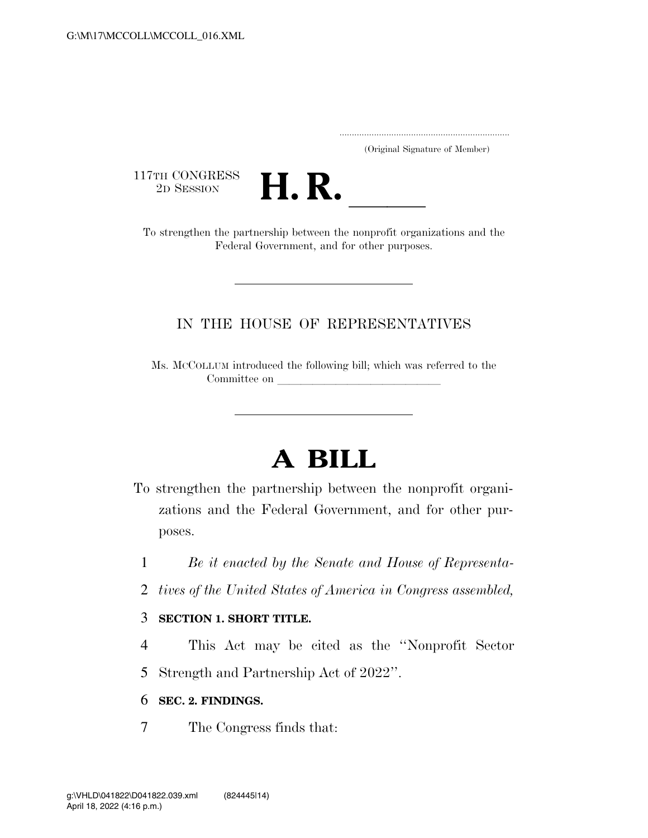..................................................................... (Original Signature of Member)

117TH CONGRESS<br>2D SESSION



17TH CONGRESS<br>
2D SESSION<br>
To strengthen the partnership between the nonprofit organizations and the Federal Government, and for other purposes.

# IN THE HOUSE OF REPRESENTATIVES

Ms. MCCOLLUM introduced the following bill; which was referred to the Committee on

# **A BILL**

- To strengthen the partnership between the nonprofit organizations and the Federal Government, and for other purposes.
	- 1 *Be it enacted by the Senate and House of Representa-*
	- 2 *tives of the United States of America in Congress assembled,*

# 3 **SECTION 1. SHORT TITLE.**

4 This Act may be cited as the ''Nonprofit Sector 5 Strength and Partnership Act of 2022''.

# 6 **SEC. 2. FINDINGS.**

7 The Congress finds that: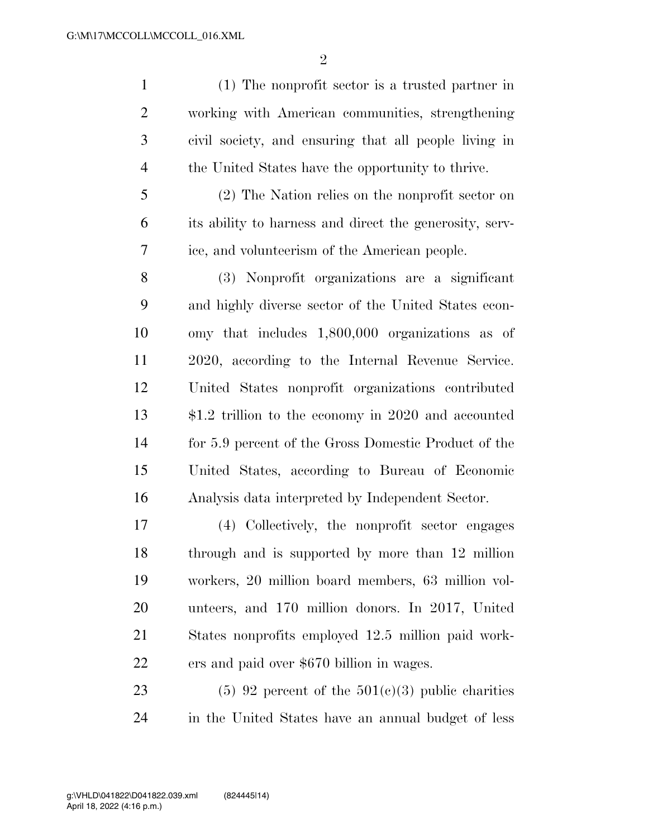(1) The nonprofit sector is a trusted partner in working with American communities, strengthening civil society, and ensuring that all people living in the United States have the opportunity to thrive.

 (2) The Nation relies on the nonprofit sector on its ability to harness and direct the generosity, serv-ice, and volunteerism of the American people.

 (3) Nonprofit organizations are a significant and highly diverse sector of the United States econ- omy that includes 1,800,000 organizations as of 2020, according to the Internal Revenue Service. United States nonprofit organizations contributed \$1.2 trillion to the economy in 2020 and accounted for 5.9 percent of the Gross Domestic Product of the United States, according to Bureau of Economic Analysis data interpreted by Independent Sector.

 (4) Collectively, the nonprofit sector engages through and is supported by more than 12 million workers, 20 million board members, 63 million vol- unteers, and 170 million donors. In 2017, United States nonprofits employed 12.5 million paid work-ers and paid over \$670 billion in wages.

23 (5) 92 percent of the  $501(c)(3)$  public charities in the United States have an annual budget of less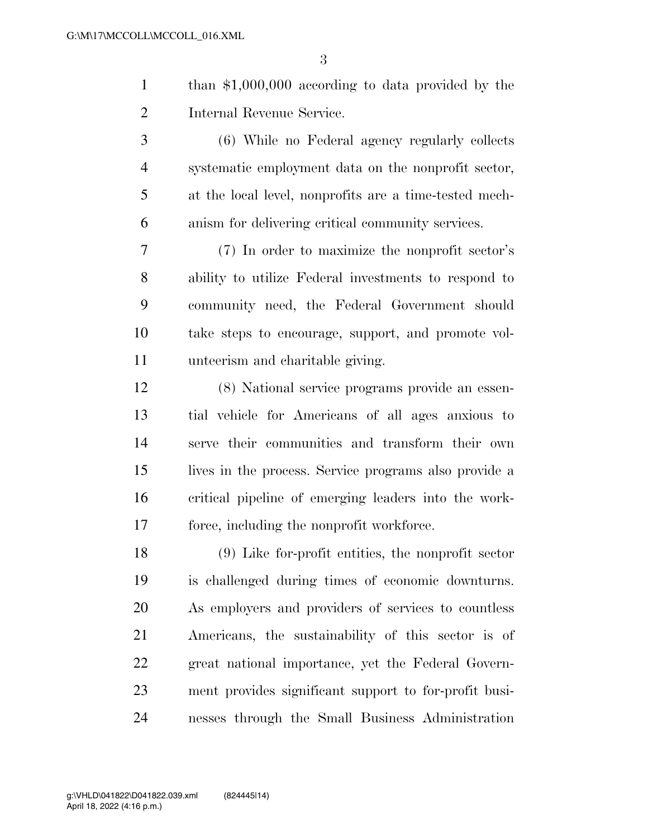- than \$1,000,000 according to data provided by the Internal Revenue Service.
- (6) While no Federal agency regularly collects systematic employment data on the nonprofit sector, at the local level, nonprofits are a time-tested mech-anism for delivering critical community services.

 (7) In order to maximize the nonprofit sector's ability to utilize Federal investments to respond to community need, the Federal Government should take steps to encourage, support, and promote vol-unteerism and charitable giving.

 (8) National service programs provide an essen- tial vehicle for Americans of all ages anxious to serve their communities and transform their own lives in the process. Service programs also provide a critical pipeline of emerging leaders into the work-force, including the nonprofit workforce.

 (9) Like for-profit entities, the nonprofit sector is challenged during times of economic downturns. As employers and providers of services to countless Americans, the sustainability of this sector is of great national importance, yet the Federal Govern- ment provides significant support to for-profit busi-nesses through the Small Business Administration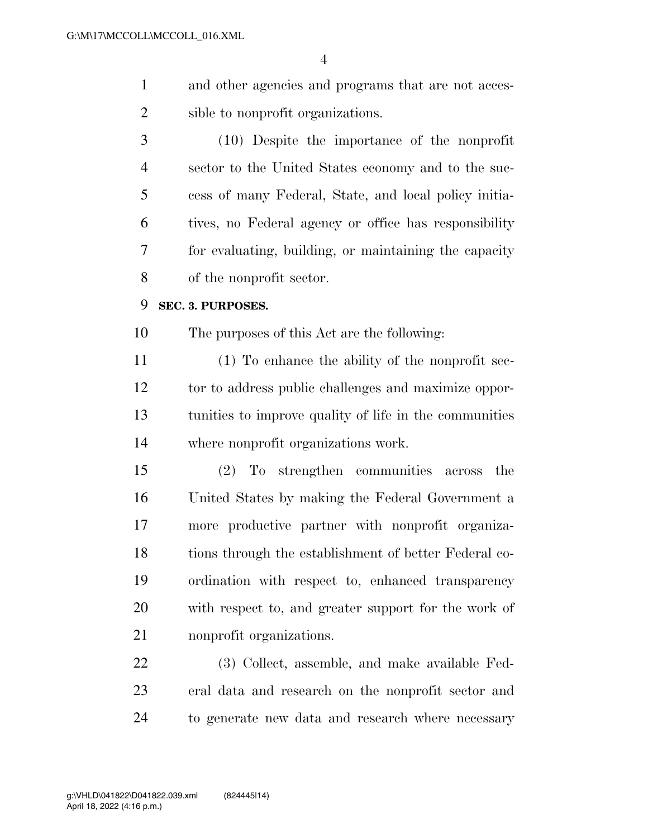- and other agencies and programs that are not acces-sible to nonprofit organizations.
- (10) Despite the importance of the nonprofit sector to the United States economy and to the suc- cess of many Federal, State, and local policy initia- tives, no Federal agency or office has responsibility for evaluating, building, or maintaining the capacity of the nonprofit sector.

#### **SEC. 3. PURPOSES.**

The purposes of this Act are the following:

 (1) To enhance the ability of the nonprofit sec- tor to address public challenges and maximize oppor- tunities to improve quality of life in the communities where nonprofit organizations work.

 (2) To strengthen communities across the United States by making the Federal Government a more productive partner with nonprofit organiza- tions through the establishment of better Federal co- ordination with respect to, enhanced transparency with respect to, and greater support for the work of nonprofit organizations.

 (3) Collect, assemble, and make available Fed- eral data and research on the nonprofit sector and to generate new data and research where necessary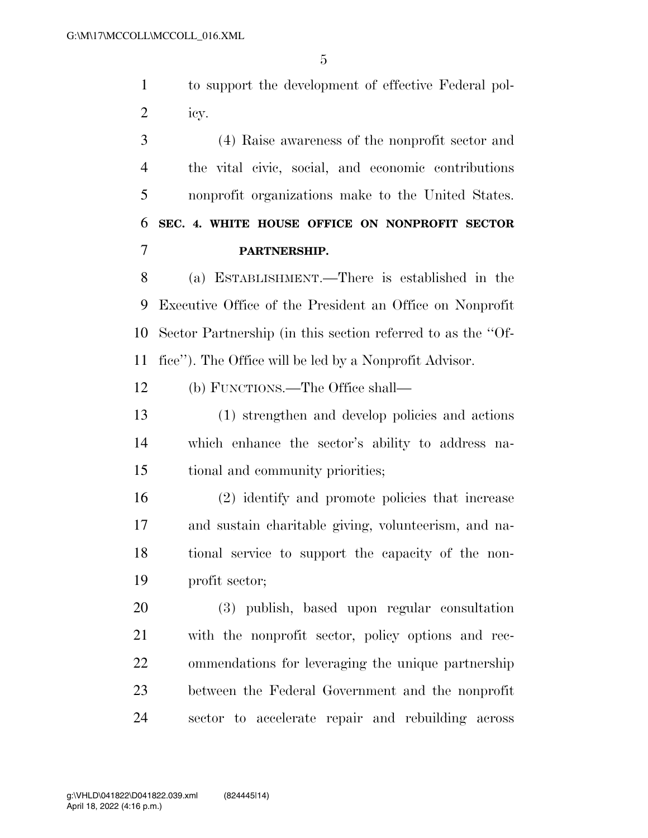to support the development of effective Federal pol-icy.

 (4) Raise awareness of the nonprofit sector and the vital civic, social, and economic contributions nonprofit organizations make to the United States. **SEC. 4. WHITE HOUSE OFFICE ON NONPROFIT SECTOR PARTNERSHIP.** 

 (a) ESTABLISHMENT.—There is established in the Executive Office of the President an Office on Nonprofit Sector Partnership (in this section referred to as the ''Of-fice''). The Office will be led by a Nonprofit Advisor.

(b) FUNCTIONS.—The Office shall—

 (1) strengthen and develop policies and actions which enhance the sector's ability to address na-tional and community priorities;

 (2) identify and promote policies that increase and sustain charitable giving, volunteerism, and na- tional service to support the capacity of the non-profit sector;

 (3) publish, based upon regular consultation with the nonprofit sector, policy options and rec- ommendations for leveraging the unique partnership between the Federal Government and the nonprofit sector to accelerate repair and rebuilding across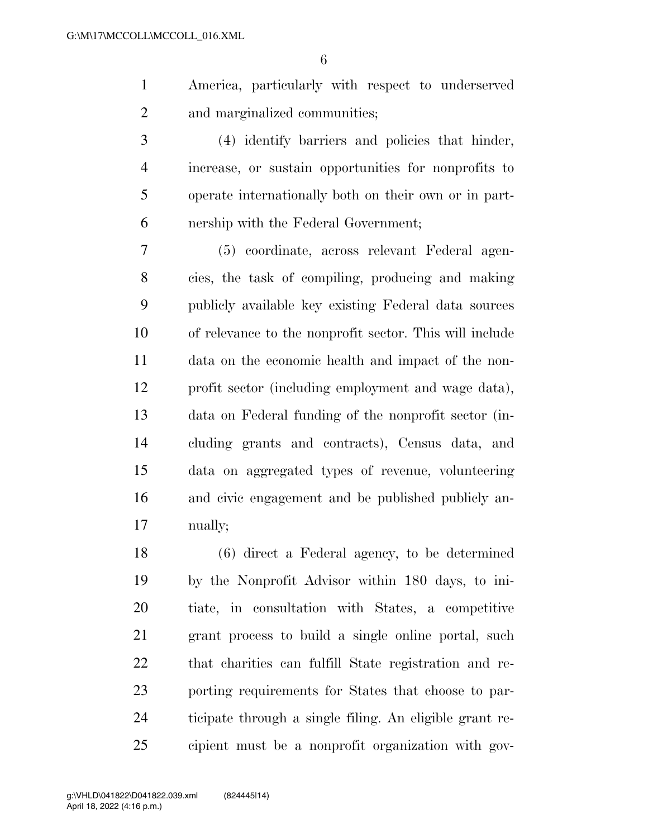America, particularly with respect to underserved and marginalized communities;

 (4) identify barriers and policies that hinder, increase, or sustain opportunities for nonprofits to operate internationally both on their own or in part-nership with the Federal Government;

 (5) coordinate, across relevant Federal agen- cies, the task of compiling, producing and making publicly available key existing Federal data sources of relevance to the nonprofit sector. This will include data on the economic health and impact of the non- profit sector (including employment and wage data), data on Federal funding of the nonprofit sector (in- cluding grants and contracts), Census data, and data on aggregated types of revenue, volunteering and civic engagement and be published publicly an-nually;

 (6) direct a Federal agency, to be determined by the Nonprofit Advisor within 180 days, to ini- tiate, in consultation with States, a competitive grant process to build a single online portal, such that charities can fulfill State registration and re- porting requirements for States that choose to par- ticipate through a single filing. An eligible grant re-cipient must be a nonprofit organization with gov-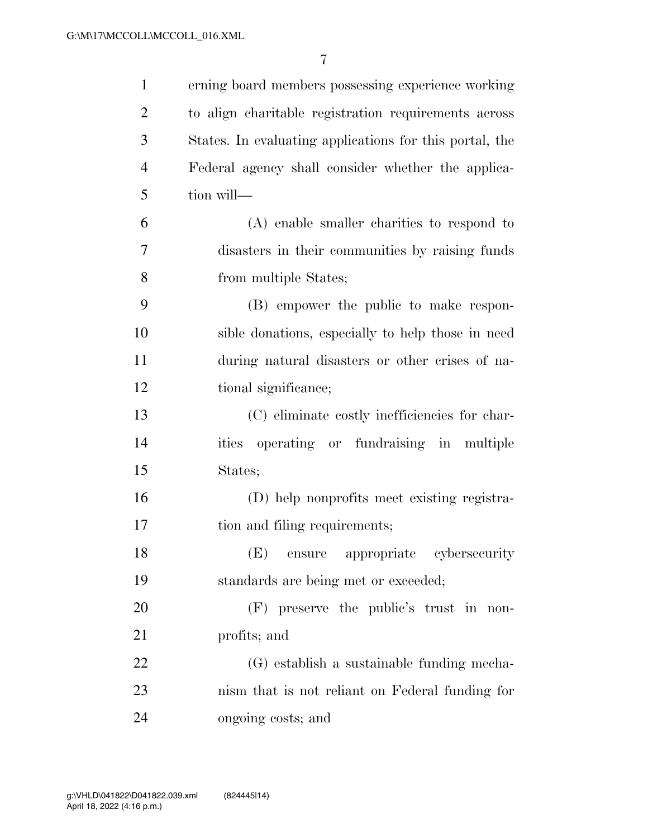| $\mathbf{1}$   | erning board members possessing experience working      |
|----------------|---------------------------------------------------------|
| $\overline{2}$ | to align charitable registration requirements across    |
| 3              | States. In evaluating applications for this portal, the |
| 4              | Federal agency shall consider whether the applica-      |
| 5              | tion will-                                              |
| 6              | $(A)$ enable smaller charities to respond to            |
| 7              | disasters in their communities by raising funds         |
| 8              | from multiple States;                                   |
| 9              | (B) empower the public to make respon-                  |
| 10             | sible donations, especially to help those in need       |
| 11             | during natural disasters or other crises of na-         |
| 12             | tional significance;                                    |
| 13             | (C) eliminate costly inefficiencies for char-           |
| 14             | ities operating or fundraising in multiple              |
| 15             | States;                                                 |
| 16             | (D) help nonprofits meet existing registra-             |
| 17             | tion and filing requirements;                           |
| 18             | (E) ensure appropriate cybersecurity                    |
| 19             | standards are being met or exceeded;                    |
| 20             | $(F)$ preserve the public's trust in non-               |
| 21             | profits; and                                            |
| 22             | (G) establish a sustainable funding mecha-              |
| 23             | nism that is not reliant on Federal funding for         |
| 24             | ongoing costs; and                                      |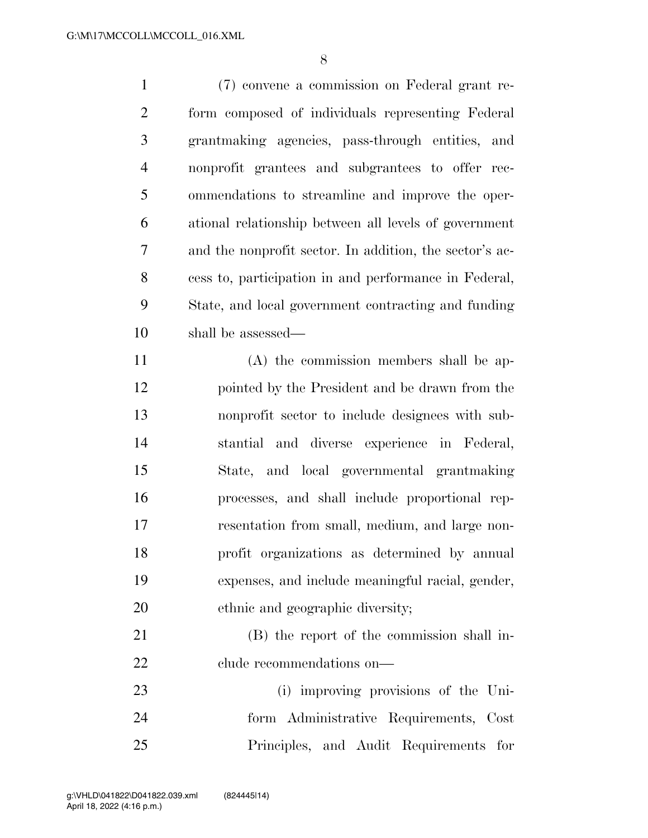(7) convene a commission on Federal grant re- form composed of individuals representing Federal grantmaking agencies, pass-through entities, and nonprofit grantees and subgrantees to offer rec- ommendations to streamline and improve the oper- ational relationship between all levels of government and the nonprofit sector. In addition, the sector's ac- cess to, participation in and performance in Federal, State, and local government contracting and funding shall be assessed— (A) the commission members shall be ap-

 pointed by the President and be drawn from the nonprofit sector to include designees with sub- stantial and diverse experience in Federal, State, and local governmental grantmaking processes, and shall include proportional rep- resentation from small, medium, and large non- profit organizations as determined by annual expenses, and include meaningful racial, gender, ethnic and geographic diversity;

 (B) the report of the commission shall in-22 clude recommendations on—

 (i) improving provisions of the Uni- form Administrative Requirements, Cost Principles, and Audit Requirements for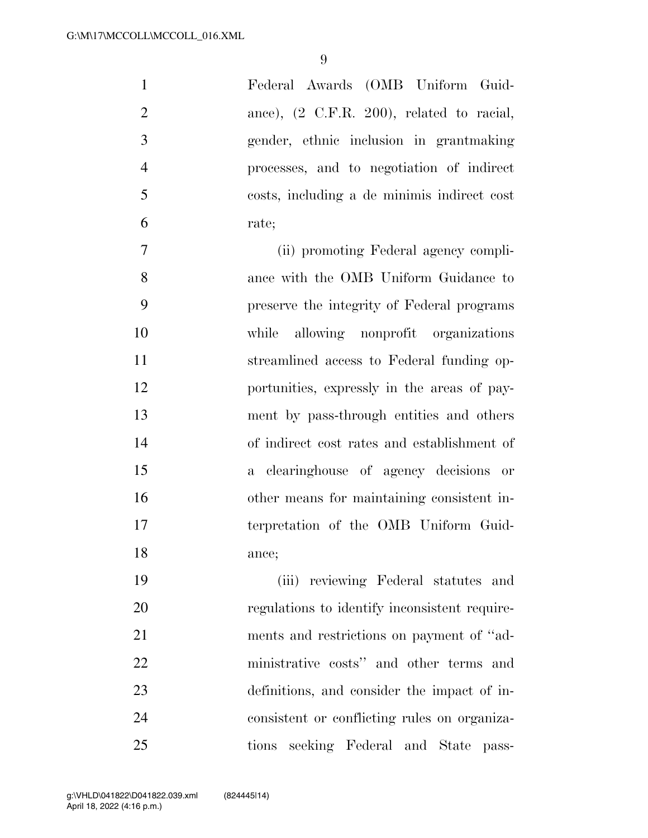Federal Awards (OMB Uniform Guid-2 ance),  $(2 \text{ C.F.R. } 200)$ , related to racial, gender, ethnic inclusion in grantmaking processes, and to negotiation of indirect costs, including a de minimis indirect cost rate;

 (ii) promoting Federal agency compli- ance with the OMB Uniform Guidance to preserve the integrity of Federal programs while allowing nonprofit organizations streamlined access to Federal funding op- portunities, expressly in the areas of pay- ment by pass-through entities and others of indirect cost rates and establishment of a clearinghouse of agency decisions or other means for maintaining consistent in- terpretation of the OMB Uniform Guid-ance;

 (iii) reviewing Federal statutes and regulations to identify inconsistent require- ments and restrictions on payment of ''ad- ministrative costs'' and other terms and definitions, and consider the impact of in- consistent or conflicting rules on organiza-tions seeking Federal and State pass-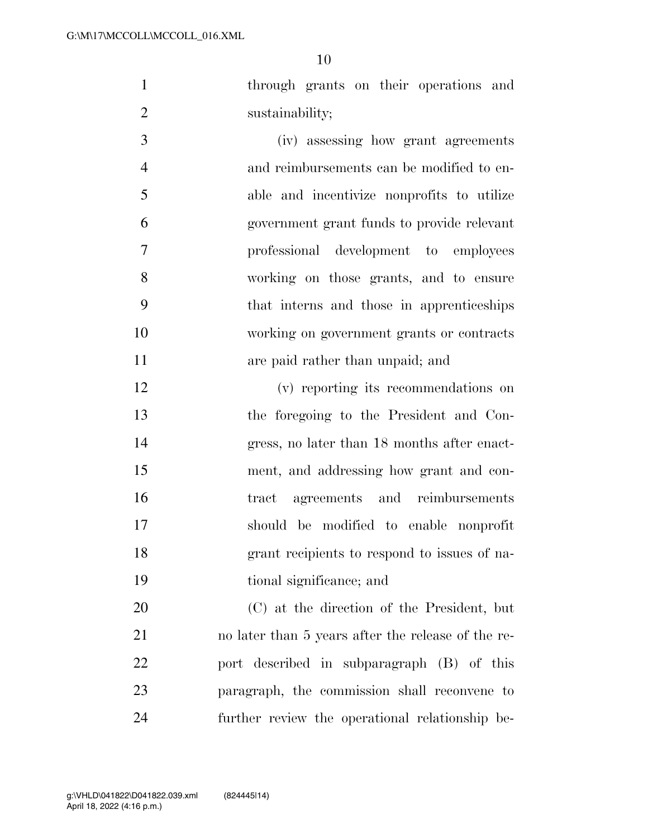through grants on their operations and 2 sustainability;

 (iv) assessing how grant agreements and reimbursements can be modified to en- able and incentivize nonprofits to utilize government grant funds to provide relevant professional development to employees working on those grants, and to ensure that interns and those in apprenticeships working on government grants or contracts **are paid rather than unpaid; and** 

 (v) reporting its recommendations on the foregoing to the President and Con- gress, no later than 18 months after enact- ment, and addressing how grant and con- tract agreements and reimbursements should be modified to enable nonprofit grant recipients to respond to issues of na-tional significance; and

 (C) at the direction of the President, but no later than 5 years after the release of the re- port described in subparagraph (B) of this paragraph, the commission shall reconvene to further review the operational relationship be-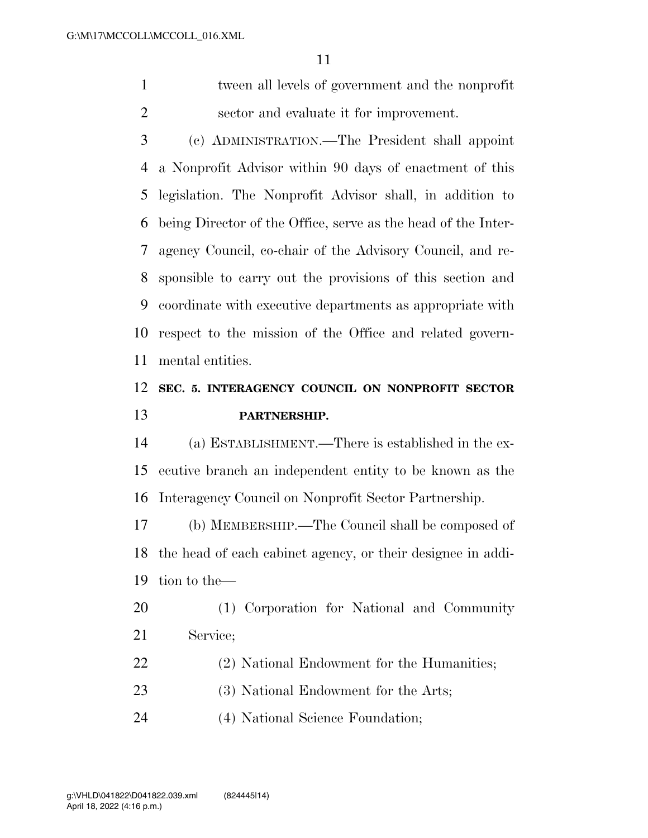tween all levels of government and the nonprofit sector and evaluate it for improvement.

 (c) ADMINISTRATION.—The President shall appoint a Nonprofit Advisor within 90 days of enactment of this legislation. The Nonprofit Advisor shall, in addition to being Director of the Office, serve as the head of the Inter- agency Council, co-chair of the Advisory Council, and re- sponsible to carry out the provisions of this section and coordinate with executive departments as appropriate with respect to the mission of the Office and related govern-mental entities.

# **SEC. 5. INTERAGENCY COUNCIL ON NONPROFIT SECTOR PARTNERSHIP.**

 (a) ESTABLISHMENT.—There is established in the ex- ecutive branch an independent entity to be known as the Interagency Council on Nonprofit Sector Partnership.

 (b) MEMBERSHIP.—The Council shall be composed of the head of each cabinet agency, or their designee in addi-tion to the—

 (1) Corporation for National and Community Service;

- (2) National Endowment for the Humanities;
- (3) National Endowment for the Arts;
- (4) National Science Foundation;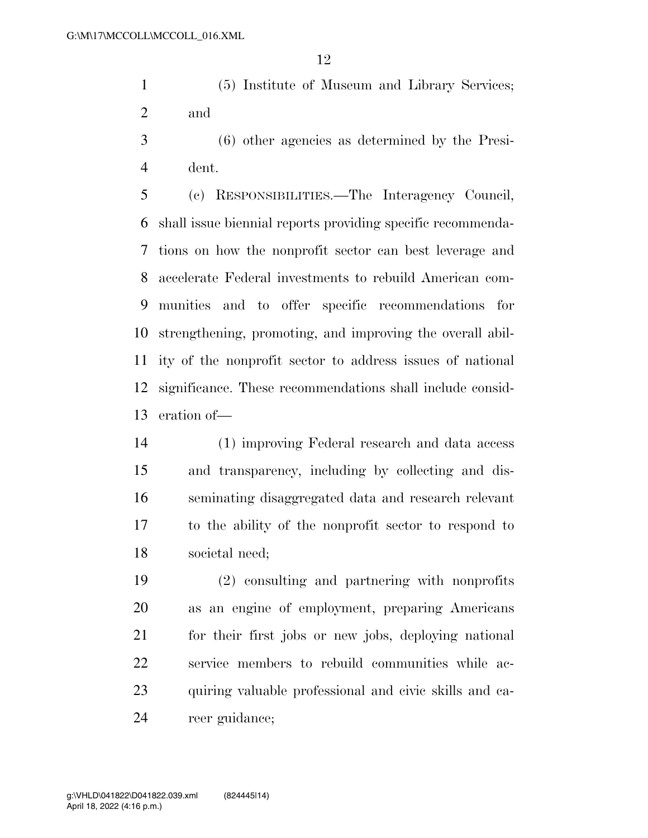(5) Institute of Museum and Library Services; and

 (6) other agencies as determined by the Presi-dent.

 (c) RESPONSIBILITIES.—The Interagency Council, shall issue biennial reports providing specific recommenda- tions on how the nonprofit sector can best leverage and accelerate Federal investments to rebuild American com- munities and to offer specific recommendations for strengthening, promoting, and improving the overall abil- ity of the nonprofit sector to address issues of national significance. These recommendations shall include consid-eration of—

 (1) improving Federal research and data access and transparency, including by collecting and dis- seminating disaggregated data and research relevant to the ability of the nonprofit sector to respond to societal need;

 (2) consulting and partnering with nonprofits as an engine of employment, preparing Americans for their first jobs or new jobs, deploying national service members to rebuild communities while ac- quiring valuable professional and civic skills and ca-reer guidance;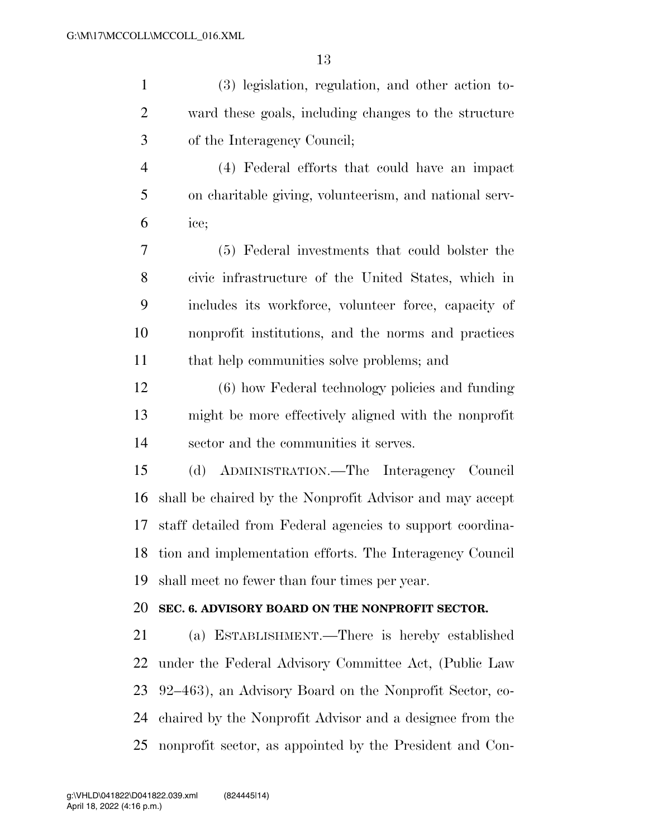| $\mathbf{1}$   | (3) legislation, regulation, and other action to-         |
|----------------|-----------------------------------------------------------|
| $\overline{2}$ | ward these goals, including changes to the structure      |
| 3              | of the Interagency Council;                               |
| $\overline{4}$ | (4) Federal efforts that could have an impact             |
| 5              | on charitable giving, volunteerism, and national serv-    |
| 6              | ice;                                                      |
| 7              | (5) Federal investments that could bolster the            |
| 8              | civic infrastructure of the United States, which in       |
| 9              | includes its workforce, volunteer force, capacity of      |
| 10             | nonprofit institutions, and the norms and practices       |
| 11             | that help communities solve problems; and                 |
| 12             | (6) how Federal technology policies and funding           |
| 13             | might be more effectively aligned with the nonprofit      |
| 14             | sector and the communities it serves.                     |
| 15             | (d) ADMINISTRATION.—The Interagency Council               |
| 16             | shall be chaired by the Nonprofit Advisor and may accept  |
| 17             | staff detailed from Federal agencies to support coordina- |
| 18             | tion and implementation efforts. The Interagency Council  |
| 19             | shall meet no fewer than four times per year.             |
| 20             | SEC. 6. ADVISORY BOARD ON THE NONPROFIT SECTOR.           |
| 21             | (a) ESTABLISHMENT.—There is hereby established            |
| 22             | under the Federal Advisory Committee Act, (Public Law     |
| 23             | 92–463), an Advisory Board on the Nonprofit Sector, co-   |
| 24             | chaired by the Nonprofit Advisor and a designee from the  |
| 25             | nonprofit sector, as appointed by the President and Con-  |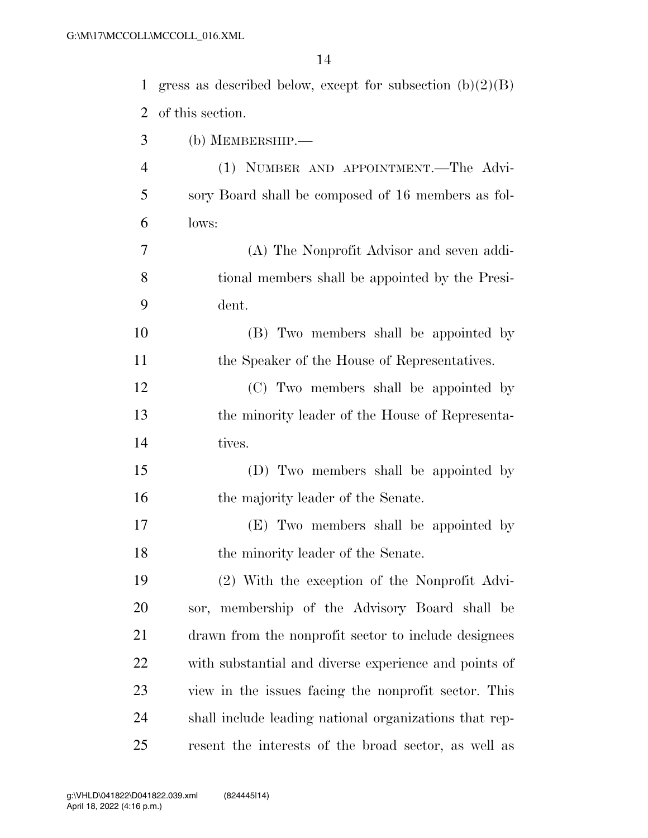| 1              | gress as described below, except for subsection $(b)(2)(B)$ |
|----------------|-------------------------------------------------------------|
| $\overline{2}$ | of this section.                                            |
| 3              | (b) MEMBERSHIP.-                                            |
| $\overline{4}$ | (1) NUMBER AND APPOINTMENT.—The Advi-                       |
| 5              | sory Board shall be composed of 16 members as fol-          |
| 6              | lows:                                                       |
| $\overline{7}$ | (A) The Nonprofit Advisor and seven addi-                   |
| 8              | tional members shall be appointed by the Presi-             |
| 9              | dent.                                                       |
| 10             | (B) Two members shall be appointed by                       |
| 11             | the Speaker of the House of Representatives.                |
| 12             | (C) Two members shall be appointed by                       |
| 13             | the minority leader of the House of Representa-             |
| 14             | tives.                                                      |
| 15             | (D) Two members shall be appointed by                       |
| 16             | the majority leader of the Senate.                          |
| 17             | (E) Two members shall be appointed by                       |
| 18             | the minority leader of the Senate.                          |
| 19             | (2) With the exception of the Nonprofit Advi-               |
| 20             | sor, membership of the Advisory Board shall be              |
| 21             | drawn from the nonprofit sector to include designees        |
| 22             | with substantial and diverse experience and points of       |
| 23             | view in the issues facing the nonprofit sector. This        |
| 24             | shall include leading national organizations that rep-      |
| 25             | resent the interests of the broad sector, as well as        |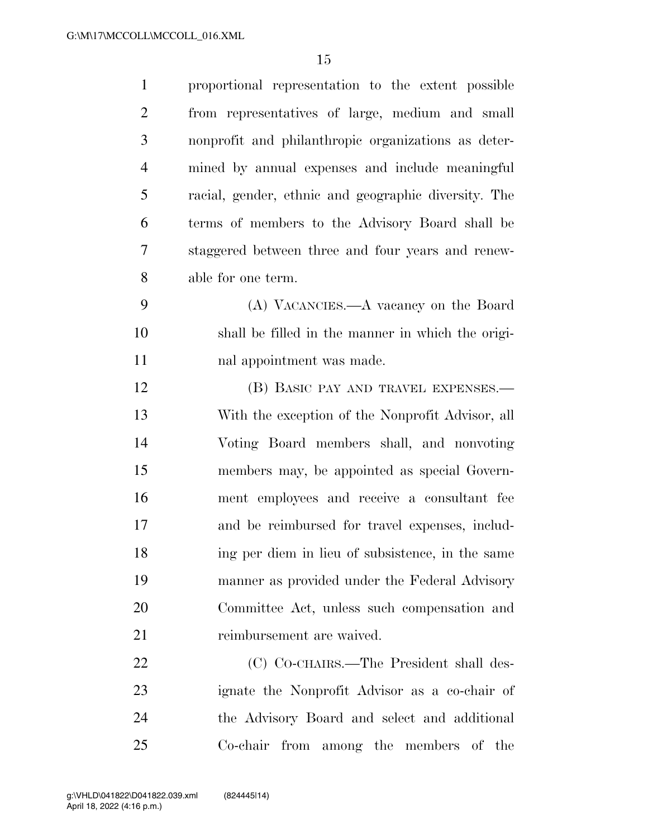| $\mathbf{1}$   | proportional representation to the extent possible   |
|----------------|------------------------------------------------------|
| $\overline{2}$ | from representatives of large, medium and small      |
| 3              | nonprofit and philanthropic organizations as deter-  |
| $\overline{4}$ | mined by annual expenses and include meaningful      |
| 5              | racial, gender, ethnic and geographic diversity. The |
| 6              | terms of members to the Advisory Board shall be      |
| 7              | staggered between three and four years and renew-    |
| 8              | able for one term.                                   |
| 9              | (A) VACANCIES.—A vacancy on the Board                |
| 10             | shall be filled in the manner in which the origi-    |
| 11             | nal appointment was made.                            |
| 12             | (B) BASIC PAY AND TRAVEL EXPENSES.—                  |
| 13             | With the exception of the Nonprofit Advisor, all     |
| 14             | Voting Board members shall, and nonvoting            |
| 15             | members may, be appointed as special Govern-         |
| 16             | ment employees and receive a consultant fee          |
| 17             | and be reimbursed for travel expenses, includ-       |
| 18             | ing per diem in lieu of subsistence, in the same     |
| 19             | manner as provided under the Federal Advisory        |
| 20             | Committee Act, unless such compensation and          |
| 21             | reimbursement are waived.                            |
| 22             | (C) CO-CHAIRS.—The President shall des-              |
| 23             | ignate the Nonprofit Advisor as a co-chair of        |
| 24             | the Advisory Board and select and additional         |
| 25             | Co-chair from among the members of the               |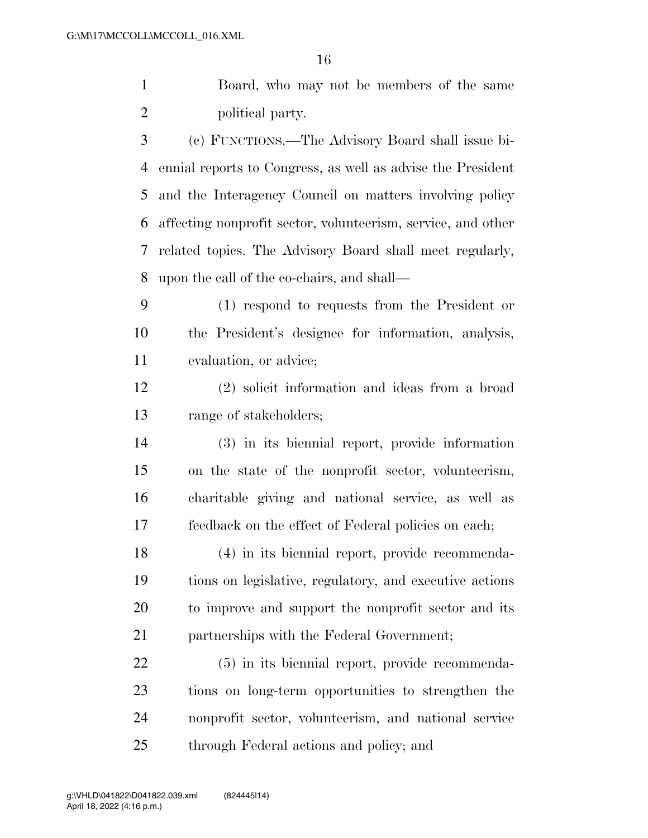Board, who may not be members of the same 2 political party.

 (c) FUNCTIONS.—The Advisory Board shall issue bi- ennial reports to Congress, as well as advise the President and the Interagency Council on matters involving policy affecting nonprofit sector, volunteerism, service, and other related topics. The Advisory Board shall meet regularly, upon the call of the co-chairs, and shall—

 (1) respond to requests from the President or the President's designee for information, analysis, evaluation, or advice;

 (2) solicit information and ideas from a broad range of stakeholders;

 (3) in its biennial report, provide information on the state of the nonprofit sector, volunteerism, charitable giving and national service, as well as feedback on the effect of Federal policies on each;

 (4) in its biennial report, provide recommenda- tions on legislative, regulatory, and executive actions to improve and support the nonprofit sector and its partnerships with the Federal Government;

 (5) in its biennial report, provide recommenda- tions on long-term opportunities to strengthen the nonprofit sector, volunteerism, and national service through Federal actions and policy; and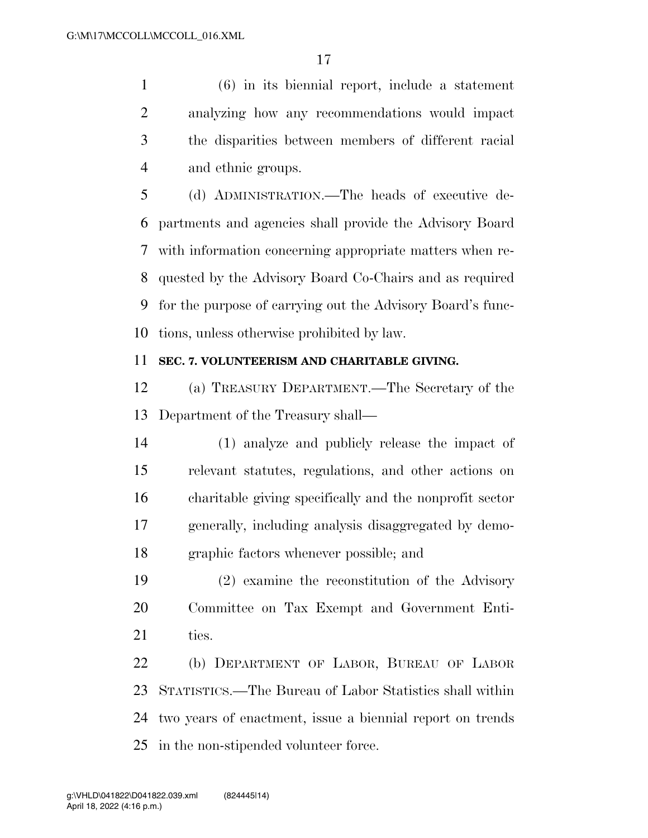(6) in its biennial report, include a statement analyzing how any recommendations would impact the disparities between members of different racial and ethnic groups.

 (d) ADMINISTRATION.—The heads of executive de- partments and agencies shall provide the Advisory Board with information concerning appropriate matters when re- quested by the Advisory Board Co-Chairs and as required for the purpose of carrying out the Advisory Board's func-tions, unless otherwise prohibited by law.

### **SEC. 7. VOLUNTEERISM AND CHARITABLE GIVING.**

 (a) TREASURY DEPARTMENT.—The Secretary of the Department of the Treasury shall—

 (1) analyze and publicly release the impact of relevant statutes, regulations, and other actions on charitable giving specifically and the nonprofit sector generally, including analysis disaggregated by demo-graphic factors whenever possible; and

 (2) examine the reconstitution of the Advisory Committee on Tax Exempt and Government Enti-21 ties.

 (b) DEPARTMENT OF LABOR, BUREAU OF LABOR STATISTICS.—The Bureau of Labor Statistics shall within two years of enactment, issue a biennial report on trends in the non-stipended volunteer force.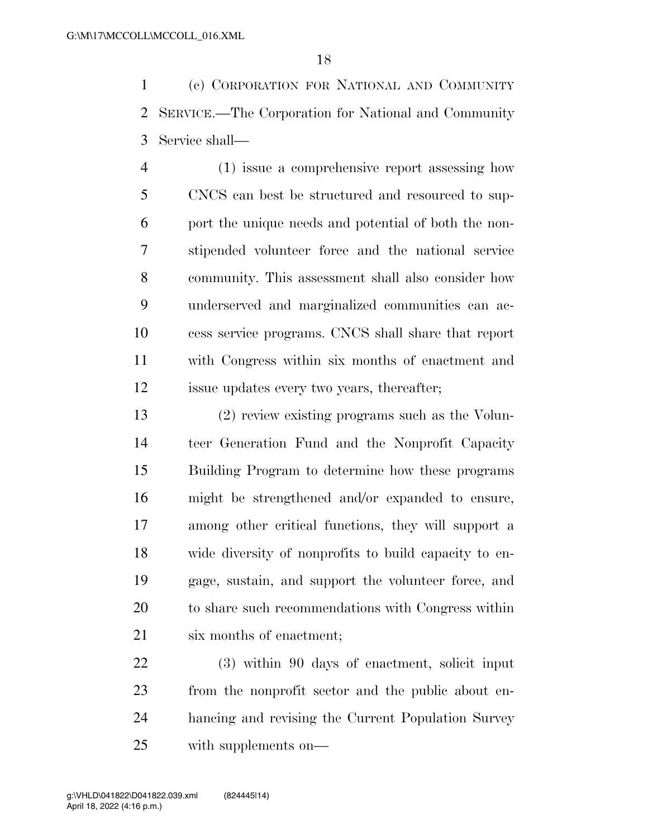(c) CORPORATION FOR NATIONAL AND COMMUNITY SERVICE.—The Corporation for National and Community Service shall—

 (1) issue a comprehensive report assessing how CNCS can best be structured and resourced to sup- port the unique needs and potential of both the non- stipended volunteer force and the national service community. This assessment shall also consider how underserved and marginalized communities can ac- cess service programs. CNCS shall share that report with Congress within six months of enactment and issue updates every two years, thereafter;

 (2) review existing programs such as the Volun- teer Generation Fund and the Nonprofit Capacity Building Program to determine how these programs might be strengthened and/or expanded to ensure, among other critical functions, they will support a wide diversity of nonprofits to build capacity to en- gage, sustain, and support the volunteer force, and to share such recommendations with Congress within six months of enactment;

 (3) within 90 days of enactment, solicit input from the nonprofit sector and the public about en- hancing and revising the Current Population Survey with supplements on—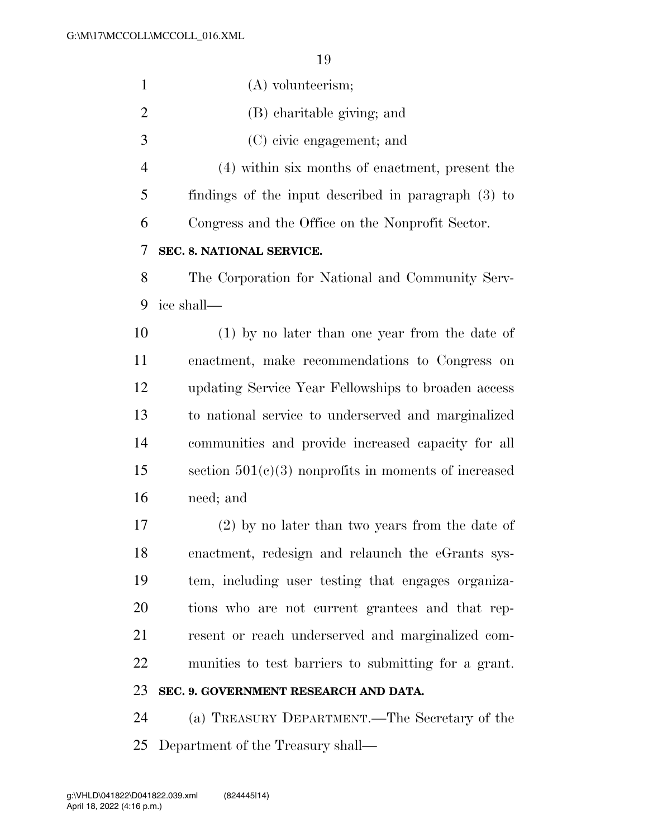| $\mathbf{1}$   | $(A)$ volunteerism;                                    |
|----------------|--------------------------------------------------------|
| $\overline{2}$ | (B) charitable giving; and                             |
| 3              | (C) civic engagement; and                              |
| $\overline{4}$ | (4) within six months of enactment, present the        |
| 5              | findings of the input described in paragraph $(3)$ to  |
| 6              | Congress and the Office on the Nonprofit Sector.       |
| 7              | SEC. 8. NATIONAL SERVICE.                              |
| 8              | The Corporation for National and Community Serv-       |
| 9              | ice shall—                                             |
| 10             | $(1)$ by no later than one year from the date of       |
| 11             | enactment, make recommendations to Congress on         |
| 12             | updating Service Year Fellowships to broaden access    |
| 13             | to national service to underserved and marginalized    |
| 14             | communities and provide increased capacity for all     |
| 15             | section $501(c)(3)$ nonprofits in moments of increased |
| 16             | need; and                                              |
| 17             | $(2)$ by no later than two years from the date of      |
| 18             | enactment, redesign and relaunch the eGrants sys-      |
| 19             | tem, including user testing that engages organiza-     |
| 20             | tions who are not current grantees and that rep-       |
| 21             | resent or reach underserved and marginalized com-      |
| 22             | munities to test barriers to submitting for a grant.   |
| 23             | SEC. 9. GOVERNMENT RESEARCH AND DATA.                  |
| 24             | (a) TREASURY DEPARTMENT.—The Secretary of the          |
| 25             | Department of the Treasury shall—                      |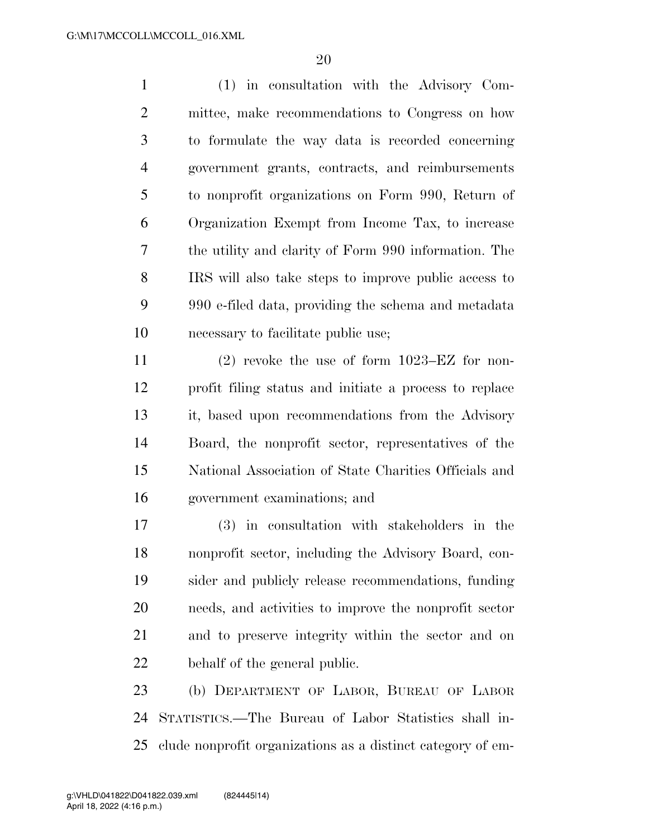(1) in consultation with the Advisory Com- mittee, make recommendations to Congress on how to formulate the way data is recorded concerning government grants, contracts, and reimbursements to nonprofit organizations on Form 990, Return of Organization Exempt from Income Tax, to increase the utility and clarity of Form 990 information. The IRS will also take steps to improve public access to 990 e-filed data, providing the schema and metadata necessary to facilitate public use;

 (2) revoke the use of form 1023–EZ for non- profit filing status and initiate a process to replace it, based upon recommendations from the Advisory Board, the nonprofit sector, representatives of the National Association of State Charities Officials and government examinations; and

 (3) in consultation with stakeholders in the nonprofit sector, including the Advisory Board, con- sider and publicly release recommendations, funding needs, and activities to improve the nonprofit sector and to preserve integrity within the sector and on behalf of the general public.

 (b) DEPARTMENT OF LABOR, BUREAU OF LABOR STATISTICS.—The Bureau of Labor Statistics shall in-clude nonprofit organizations as a distinct category of em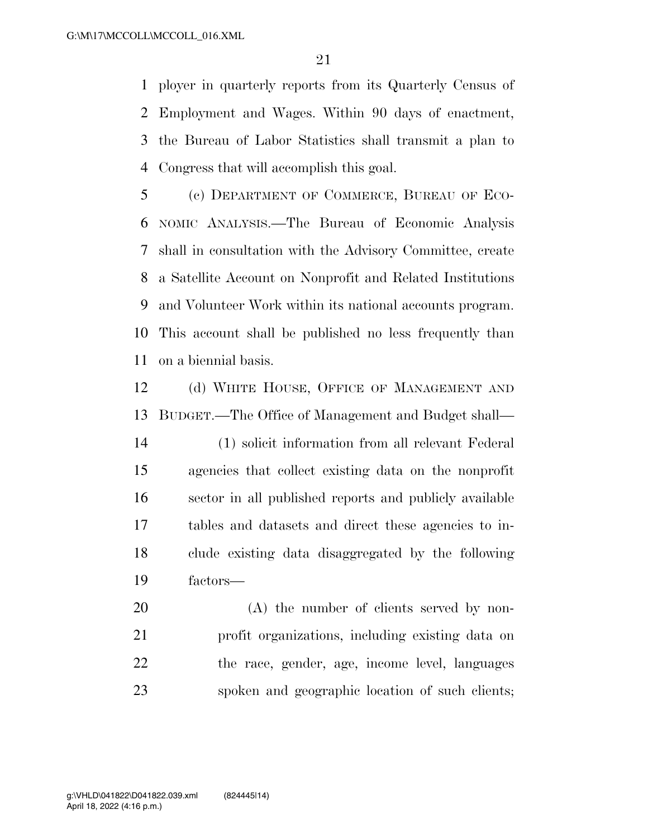ployer in quarterly reports from its Quarterly Census of Employment and Wages. Within 90 days of enactment, the Bureau of Labor Statistics shall transmit a plan to Congress that will accomplish this goal.

 (c) DEPARTMENT OF COMMERCE, BUREAU OF ECO- NOMIC ANALYSIS.—The Bureau of Economic Analysis shall in consultation with the Advisory Committee, create a Satellite Account on Nonprofit and Related Institutions and Volunteer Work within its national accounts program. This account shall be published no less frequently than on a biennial basis.

12 (d) WHITE HOUSE, OFFICE OF MANAGEMENT AND BUDGET.—The Office of Management and Budget shall—

 (1) solicit information from all relevant Federal agencies that collect existing data on the nonprofit sector in all published reports and publicly available tables and datasets and direct these agencies to in- clude existing data disaggregated by the following factors—

20 (A) the number of clients served by non- profit organizations, including existing data on the race, gender, age, income level, languages spoken and geographic location of such clients;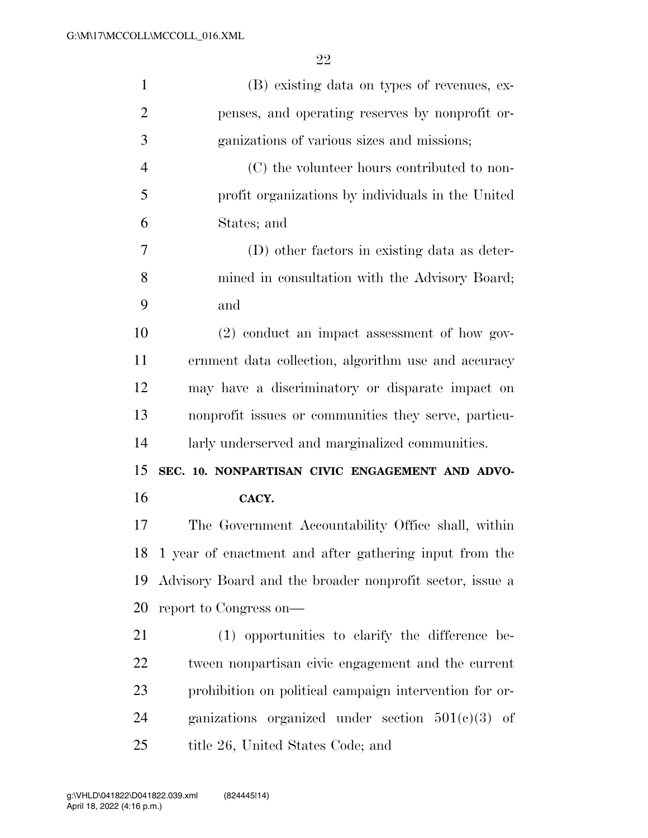| (B) existing data on types of revenues, ex-               |
|-----------------------------------------------------------|
| penses, and operating reserves by nonprofit or-           |
| ganizations of various sizes and missions;                |
| (C) the volunteer hours contributed to non-               |
| profit organizations by individuals in the United         |
| States; and                                               |
| (D) other factors in existing data as deter-              |
| mined in consultation with the Advisory Board;            |
| and                                                       |
| (2) conduct an impact assessment of how gov-              |
| ernment data collection, algorithm use and accuracy       |
|                                                           |
| may have a discriminatory or disparate impact on          |
| nonprofit issues or communities they serve, particu-      |
| larly underserved and marginalized communities.           |
| SEC. 10. NONPARTISAN CIVIC ENGAGEMENT AND ADVO-           |
| CACY.                                                     |
| The Government Accountability Office shall, within        |
| 18 1 year of enactment and after gathering input from the |
| Advisory Board and the broader nonprofit sector, issue a  |
| report to Congress on-                                    |
| (1) opportunities to clarify the difference be-           |
| tween nonpartisan civic engagement and the current        |
| prohibition on political campaign intervention for or-    |
| ganizations organized under section $501(e)(3)$ of        |
|                                                           |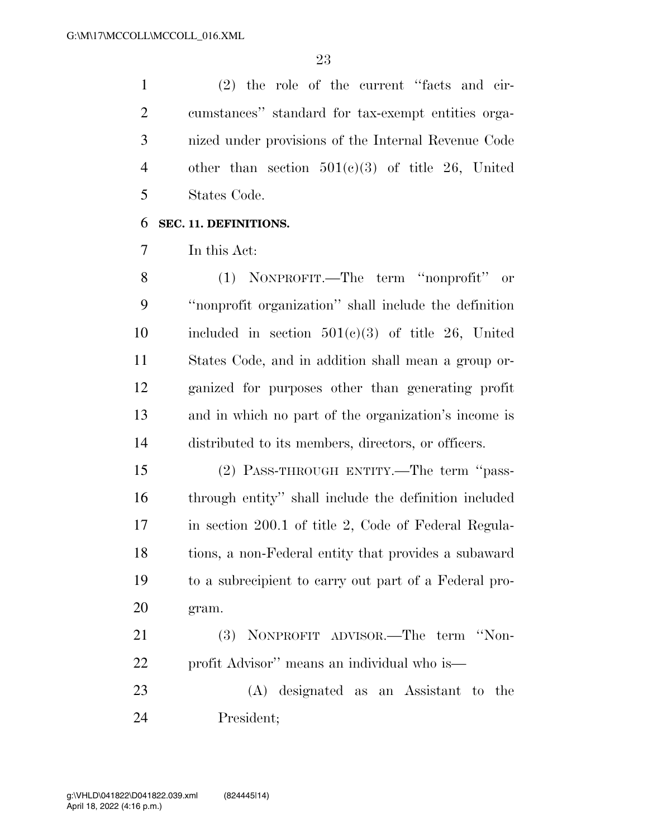(2) the role of the current ''facts and cir- cumstances'' standard for tax-exempt entities orga- nized under provisions of the Internal Revenue Code other than section 501(c)(3) of title 26, United States Code.

## **SEC. 11. DEFINITIONS.**

In this Act:

 (1) NONPROFIT.—The term ''nonprofit'' or ''nonprofit organization'' shall include the definition 10 included in section  $501(c)(3)$  of title 26, United States Code, and in addition shall mean a group or- ganized for purposes other than generating profit and in which no part of the organization's income is distributed to its members, directors, or officers.

 (2) PASS-THROUGH ENTITY.—The term ''pass- through entity'' shall include the definition included in section 200.1 of title 2, Code of Federal Regula- tions, a non-Federal entity that provides a subaward to a subrecipient to carry out part of a Federal pro-gram.

 (3) NONPROFIT ADVISOR.—The term ''Non-profit Advisor'' means an individual who is—

 (A) designated as an Assistant to the President;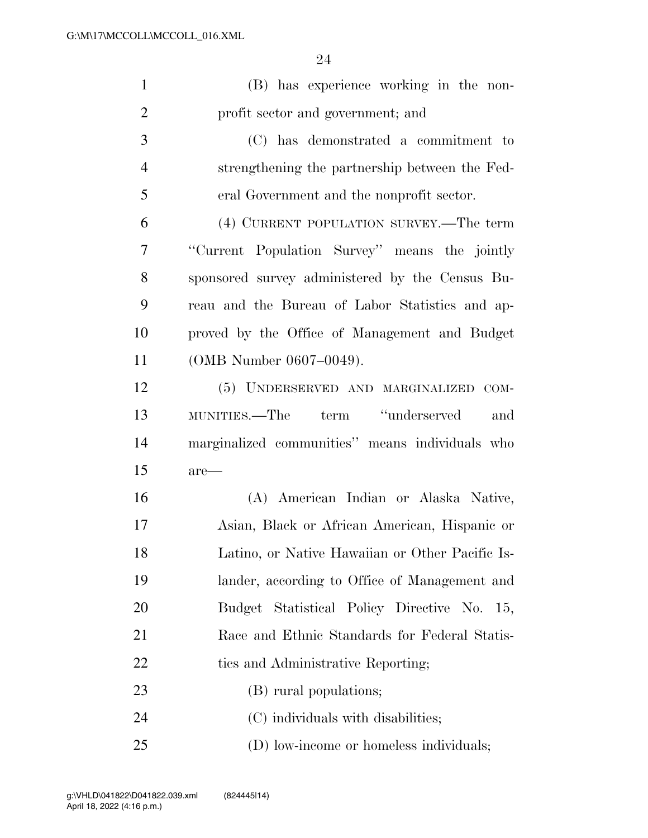| $\mathbf{1}$   | (B) has experience working in the non-          |
|----------------|-------------------------------------------------|
| $\overline{2}$ | profit sector and government; and               |
| 3              | (C) has demonstrated a commitment to            |
| $\overline{4}$ | strengthening the partnership between the Fed-  |
| 5              | eral Government and the nonprofit sector.       |
| 6              | (4) CURRENT POPULATION SURVEY.—The term         |
| 7              | "Current Population Survey" means the jointly   |
| 8              | sponsored survey administered by the Census Bu- |
| 9              | reau and the Bureau of Labor Statistics and ap- |
| 10             | proved by the Office of Management and Budget   |
| 11             | (OMB Number 0607-0049).                         |
| 12             | (5) UNDERSERVED AND MARGINALIZED COM-           |
| 13             | term "underserved"<br>MUNITIES.—The<br>and      |
| 14             | marginalized communities" means individuals who |
| 15             | are—                                            |
| 16             | (A) American Indian or Alaska Native,           |
| 17             | Asian, Black or African American, Hispanic or   |
| 18             | Latino, or Native Hawaiian or Other Pacific Is- |
| 19             | lander, according to Office of Management and   |
| 20             | Budget Statistical Policy Directive No. 15,     |
| 21             | Race and Ethnic Standards for Federal Statis-   |
| 22             | tics and Administrative Reporting;              |
| 23             | (B) rural populations;                          |
| 24             | (C) individuals with disabilities;              |
| 25             | (D) low-income or homeless individuals;         |